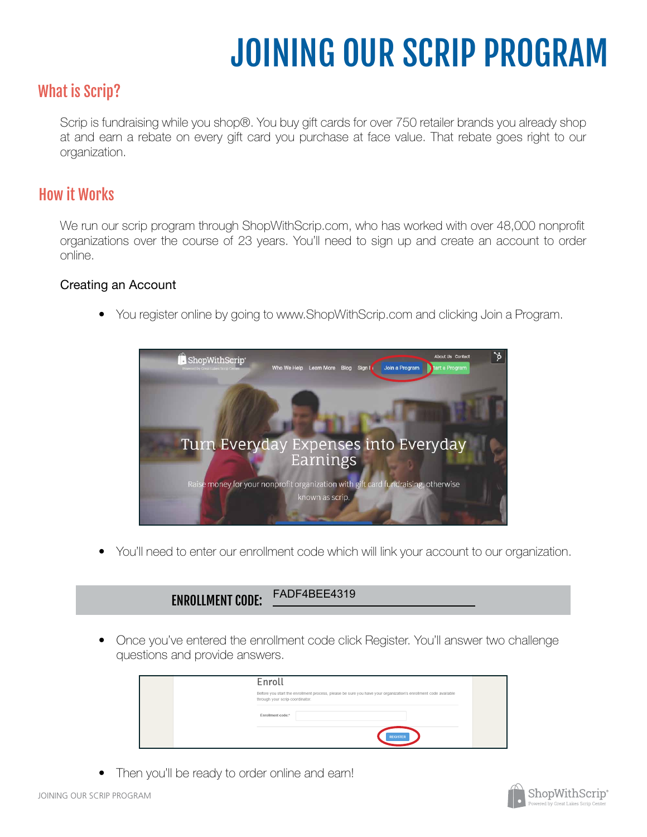# JOINING OUR SCRIP PROGRAM

# What is Scrip?

Scrip is fundraising while you shop®. You buy gift cards for over 750 retailer brands you already shop at and earn a rebate on every gift card you purchase at face value. That rebate goes right to our organization.

# How it Works

We run our scrip program through ShopWithScrip.com, who has worked with over 48,000 nonprofit organizations over the course of 23 years. You'll need to sign up and create an account to order online.

### Creating an Account

• You register online by going to www.ShopWithScrip.com and clicking Join a Program.



• You'll need to enter our enrollment code which will link your account to our organization.

#### ENROLLMENT CODE: FADF4BEE4319

Once you've entered the enrollment code click Register. You'll answer two challenge questions and provide answers. •

| Enroll                                                                                                                                            |  |
|---------------------------------------------------------------------------------------------------------------------------------------------------|--|
| Before you start the enrollment process, please be sure you have your organization's enrollment code available<br>through your scrip coordinator. |  |
| Enrollment code:*<br><b>REGISTER</b>                                                                                                              |  |

• Then you'll be ready to order online and earn!

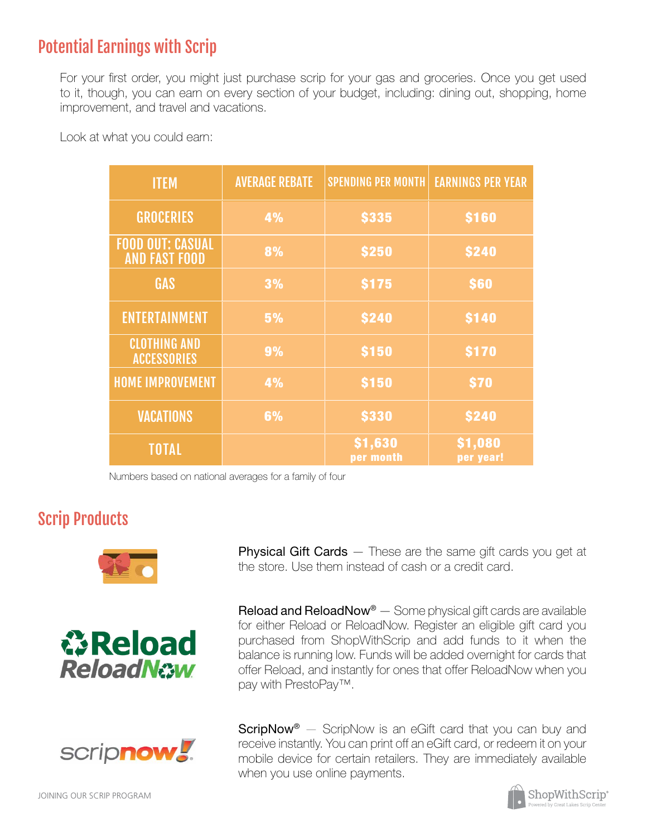# Potential Earnings with Scrip

For your first order, you might just purchase scrip for your gas and groceries. Once you get used to it, though, you can earn on every section of your budget, including: dining out, shopping, home improvement, and travel and vacations.

| <b>ITEM</b>                                     | <b>AVERAGE REBATE</b> | <b>SPENDING PER MONTH</b> | <b>EARNINGS PER YEAR</b> |
|-------------------------------------------------|-----------------------|---------------------------|--------------------------|
| <b>GROCERIES</b>                                | 4%                    | <b>\$335</b>              | <b>\$160</b>             |
| <b>FOOD OUT: CASUAL</b><br><b>AND FAST FOOD</b> | 8%                    | <b>\$250</b>              | <b>\$240</b>             |
| <b>GAS</b>                                      | 3%                    | <b>S175</b>               | \$60                     |
| <b>ENTERTAINMENT</b>                            | 5%                    | <b>\$240</b>              | <b>\$140</b>             |
| <b>CLOTHING AND</b><br><b>ACCESSORIES</b>       | 9%                    | <b>\$150</b>              | <b>\$170</b>             |
| <b>HOME IMPROVEMENT</b>                         | 4%                    | <b>\$150</b>              | \$70                     |
| <b>VACATIONS</b>                                | 6%                    | <b>\$330</b>              | <b>\$240</b>             |
| <b>TOTAL</b>                                    |                       | \$1,630<br>per month      | \$1,080<br>per year!     |

Look at what you could earn:

Numbers based on national averages for a family of four

# Scrip Products







JOINING OUR SCRIP PROGRAM

**Physical Gift Cards** — These are the same gift cards you get at the store. Use them instead of cash or a credit card.

**Reload and ReloadNow<sup>®</sup>**  $-$  Some physical gift cards are available for either Reload or ReloadNow. Register an eligible gift card you purchased from ShopWithScrip and add funds to it when the balance is running low. Funds will be added overnight for cards that offer Reload, and instantly for ones that offer ReloadNow when you pay with PrestoPay™.

**ScripNow**<sup>®</sup>  $-$  ScripNow is an eGift card that you can buy and receive instantly. You can print off an eGift card, or redeem it on your mobile device for certain retailers. They are immediately available when you use online payments.